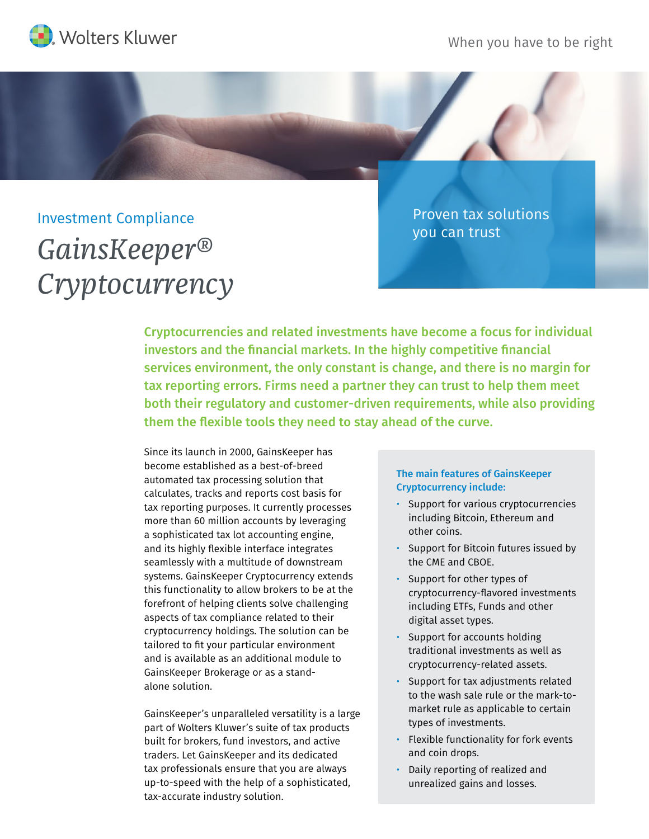

## Investment Compliance

## *GainsKeeper® Cryptocurrency*

Proven tax solutions you can trust

Cryptocurrencies and related investments have become a focus for individual investors and the financial markets. In the highly competitive financial services environment, the only constant is change, and there is no margin for tax reporting errors. Firms need a partner they can trust to help them meet both their regulatory and customer-driven requirements, while also providing them the flexible tools they need to stay ahead of the curve.

Since its launch in 2000, GainsKeeper has become established as a best-of-breed automated tax processing solution that calculates, tracks and reports cost basis for tax reporting purposes. It currently processes more than 60 million accounts by leveraging a sophisticated tax lot accounting engine, and its highly flexible interface integrates seamlessly with a multitude of downstream systems. GainsKeeper Cryptocurrency extends this functionality to allow brokers to be at the forefront of helping clients solve challenging aspects of tax compliance related to their cryptocurrency holdings. The solution can be tailored to fit your particular environment and is available as an additional module to GainsKeeper Brokerage or as a standalone solution.

GainsKeeper's unparalleled versatility is a large part of Wolters Kluwer's suite of tax products built for brokers, fund investors, and active traders. Let GainsKeeper and its dedicated tax professionals ensure that you are always up-to-speed with the help of a sophisticated, tax-accurate industry solution.

## The main features of GainsKeeper Cryptocurrency include:

- Support for various cryptocurrencies including Bitcoin, Ethereum and other coins.
- Support for Bitcoin futures issued by the CME and CBOE.
- Support for other types of cryptocurrency-flavored investments including ETFs, Funds and other digital asset types.
- Support for accounts holding traditional investments as well as cryptocurrency-related assets.
- Support for tax adjustments related to the wash sale rule or the mark-tomarket rule as applicable to certain types of investments.
- Flexible functionality for fork events and coin drops.
- Daily reporting of realized and unrealized gains and losses.